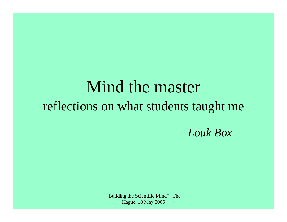# Mind the master reflections on what students taught me *Louk Box*

"Building the Scientific Mind" The Hague, 18 May 2005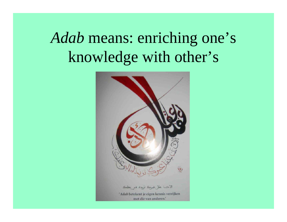# *Adab* means: enriching one's knowledge with other's

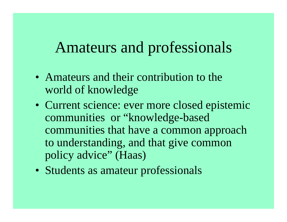## Amateurs and professionals

- Amateurs and their contribution to the world of knowledge
- Current science: ever more closed epistemic communities or "knowledge-based communities that have a common approach to understanding, and that give common policy advice" (Haas)
- Students as amateur professionals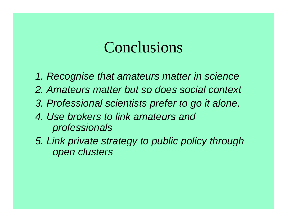### Conclusions

- *1. Recognise that amateurs matter in science*
- *2. Amateurs matter but so does social context*
- *3. Professional scientists prefer to go it alone,*
- *4. Use brokers to link amateurs and professionals*
- *5. Link private strategy to public policy through open clusters*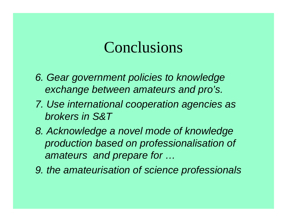### Conclusions

- *6. Gear government policies to knowledge exchange between amateurs and pro's.*
- *7. Use international cooperation agencies as brokers in S&T*
- *8. Acknowledge a novel mode of knowledge production based on professionalisation of amateurs and prepare for …*
- *9. the amateurisation of science professionals*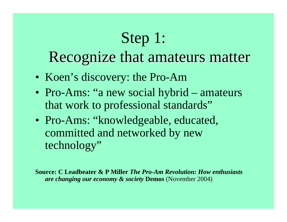# Step 1:

## Recognize that amateurs matter

- Koen's discovery: the Pro-Am
- Pro-Ams: "a new social hybrid amateurs that work to professional standards"
- Pro-Ams: "knowledgeable, educated, committed and networked by new technology"

**Source: C Leadbeater & P Miller** *The Pro-Am Revolution: How enthusiasts are changing our economy & society* **Demos** (November 2004)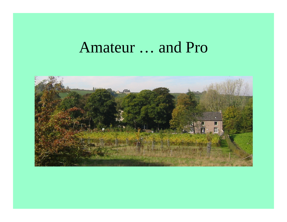#### Amateur … and Pro

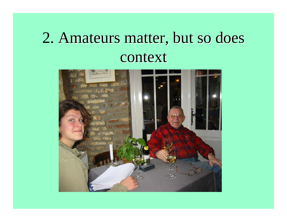## 2. Amateurs matter, but so does context

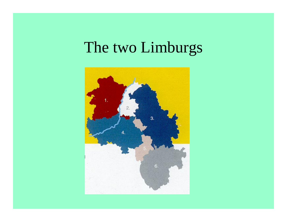## The two Limburgs

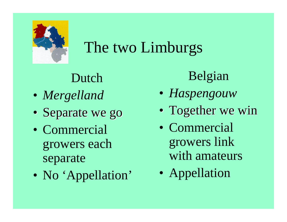

# The two Limburgs

### Dutch

- *Mergelland*
- Separate we go
- Commercialgrowers each separate
- $\bullet$ • No 'Appellation'

### Belgian

- *Haspengouw*
- Together we win
- Commercialgrowers link with amateurs
- $\bullet$ Appellation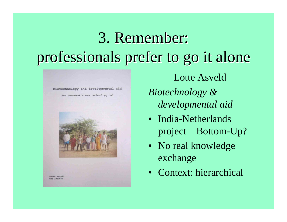# 3. Remember: professionals prefer to go it alone professionals prefer to go it alone

Biotechnology and developmental aid

How democratic can technology be?



Lotte Asveld*Biotechnology & developmental aid*

- India-Netherlands project – Bottom-Up?
- No real knowledge exchange
- Context: hierarchical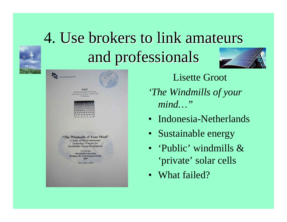# 4. Use brokers to link amateurs and professionals and professionals



| <b>ESST</b>                         |
|-------------------------------------|
| The European Inter-University       |
| Association on Society, Science and |
| Technology                          |



"The Windmills of Your Mind" A Study of Dutch-Indonesian **Technology Transfer for Sustainable Energy Development** 

> L.P. Groot **Maastricht University Bridging the Technological Divide** 2003

> > Word count: 20646

Lisette Groot *'The Windmills of your mind…"*

- Indonesia-Netherlands
- Sustainable energy
- 'Public' windmills & 'private' solar cells
- What failed?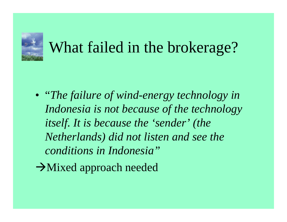

# What failed in the brokerage?

- "*The failure of wind-energy technology in Indonesia is not because of the technology itself. It is because the 'sender' (the Netherlands) did not listen and see the conditions in Indonesia"*
- $\rightarrow$ Mixed approach needed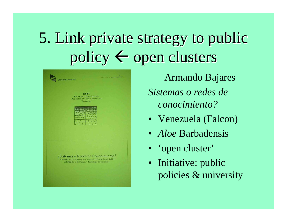# 5. Link private strategy to public policy  $\leftarrow$  open clusters

| <b>Universiteit Maastricht</b>                                                                                                                              | <b>WALKORG UNIVERSITET</b> |
|-------------------------------------------------------------------------------------------------------------------------------------------------------------|----------------------------|
| <b>ESST</b><br>The European Inter-University<br>Association on Society, Science and<br>Technology                                                           |                            |
|                                                                                                                                                             |                            |
|                                                                                                                                                             |                            |
| ¿Sistemas o Redes de Conocimiento?<br>Un estudio sobre las Redes de Cooperación Productiva de Zábila<br>del Ministerio de Ciencia y Tecnología de Venezuela |                            |
|                                                                                                                                                             |                            |

Armando Bajares *Sistemas o redes de conocimiento?*

- Venezuela (Falcon)
- *Aloe* Barbadensis
- 'open cluster'
- Initiative: public policies & university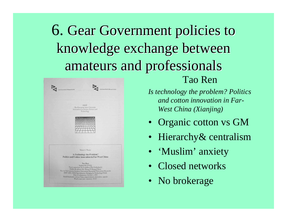# 6. Gear Government policies to knowledge exchange between amateurs and professionals amateurs and professionals

| Universiteit Maastricht | Universiteit Maastricht                                                                                                                                                                                                                   |
|-------------------------|-------------------------------------------------------------------------------------------------------------------------------------------------------------------------------------------------------------------------------------------|
|                         | <b>ESST</b><br>The European Inter-University                                                                                                                                                                                              |
|                         | Association on Society, Science and<br>Technology                                                                                                                                                                                         |
|                         |                                                                                                                                                                                                                                           |
|                         |                                                                                                                                                                                                                                           |
|                         |                                                                                                                                                                                                                                           |
|                         |                                                                                                                                                                                                                                           |
|                         |                                                                                                                                                                                                                                           |
|                         |                                                                                                                                                                                                                                           |
|                         | Master's Thesis                                                                                                                                                                                                                           |
|                         |                                                                                                                                                                                                                                           |
|                         | <b>Is Technology the Problem?</b><br><b>Politics and Cotton Innovation in Far-West China</b>                                                                                                                                              |
|                         | Tao Ren                                                                                                                                                                                                                                   |
|                         | Student ID: 079332<br>Thesis supervisor: Dr. Louk Box (The Netherlands)                                                                                                                                                                   |
|                         | Fieldwork advisor: Dr. Zhong Z. Huang (China)<br>The 1st/2nd semester location: Universiteit Maastricht/Universiteit Maastricht<br>ESST (2001-2002)/Specialization: Bridging the Technology Divide<br>Date of submission: October 1, 2002 |

Tao Ren

*Is technology the problem? Politics and cotton innovation in Far-West China (Xianjing)*

- Organic cotton vs GM
- Hierarchy & centralism
- 'Muslim' anxiety
- Closed networks
- No brokerage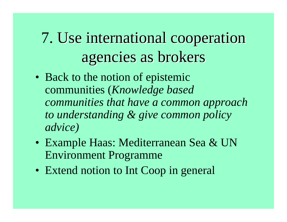7. Use international cooperation agencies as brokers agencies as brokers

- Back to the notion of epistemic communities (*Knowledge based communities that have a common approach to understanding & give common policy advice)*
- Example Haas: Mediterranean Sea & UN Environment Programme
- Extend notion to Int Coop in general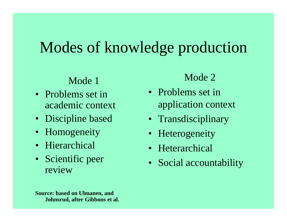## Modes of knowledge production

#### Mode 1

- Problems set in academic context
- Discipline based
- Homogeneity
- Hierarchical
- Scientific peer review

#### Mode 2

- Problems set in application context
- Transdisciplinary
- Heterogeneity
- Heterarchical
- •Social accountability

**Source: based on Ulmanen, and Johnsrud, after Gibbons et al.**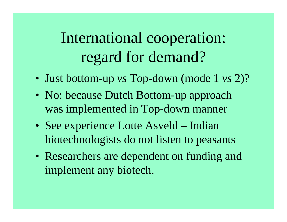International cooperation: regard for demand?

- Just bottom-up *vs* Top-down (mode 1 *vs* 2)?
- No: because Dutch Bottom-up approach was implemented in Top-down manner
- See experience Lotte Asveld – Indian biotechnologists do not listen to peasants
- Researchers are dependent on funding and implement any biotech.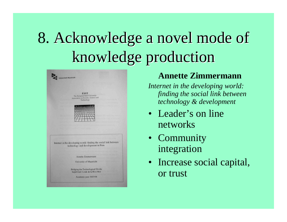# 8. Acknowledge a novel mode of knowledge production



#### **Annette Zimmermann**

*Internet in the developing world: finding the social link between technology & development*

- Leader's on line networks
- Community integration
- Increase social capital, or trust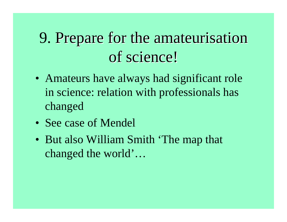## 9. Prepare for the amateurisation of science!

- Amateurs have always had significant role in science: relation with professionals has changed
- See case of Mendel
- But also William Smith 'The map that changed the world'…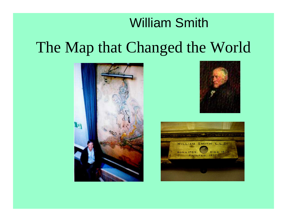# William Smith The Map that Changed the World





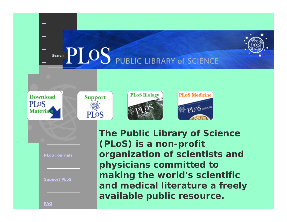

**PLoS Journals**

*PLoS Medicine*

**PLOS** 

**Support PLoS**

**The Public Library of Science (PLoS) is a non-profit organization of scientists and physicians committed to making the world's scientific and medical literature <sup>a</sup> freely available public resource.**

PLOS MEDICINE